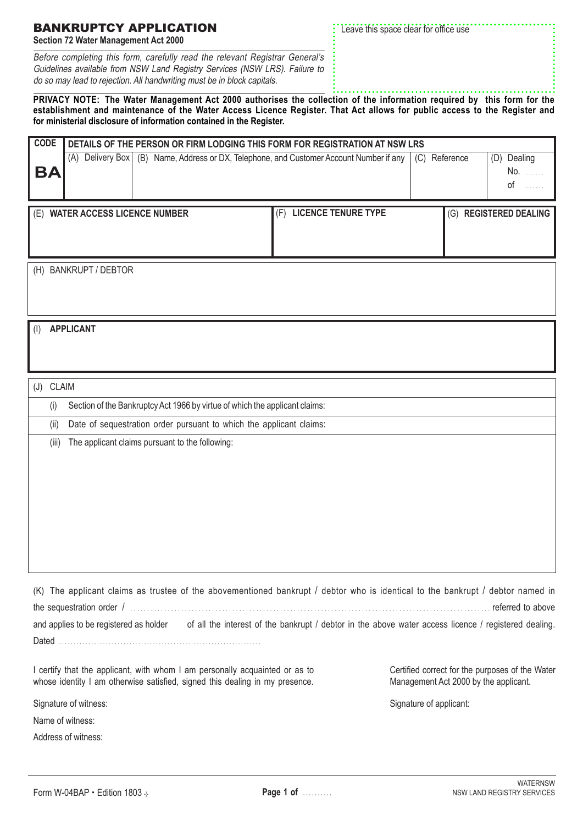## Form W-04BAP • Edition 1803 + **Page 1 of .........**

## BANKRUPTCY APPLICATION

**Section 72 Water Management Act 2000**

Before completing this form, carefully read the relevant Registrar General's Guidelines available from NSW Land Registry Services (NSW LRS). Failure to do so may lead to rejection. All handwriting must be in block capitals.

Leave this space clear for office use

## **PRIVACY NOTE: The Water Management Act 2000 authorises the collection of the information required by this form for the establishment and maintenance of the Water Access Licence Register. That Act allows for public access to the Register and for ministerial disclosure of information contained in the Register.**

| <b>CODE</b> | DETAILS OF THE PERSON OR FIRM LODGING THIS FORM FOR REGISTRATION AT NSW LRS |  |                                                                        |     |           |                             |  |  |
|-------------|-----------------------------------------------------------------------------|--|------------------------------------------------------------------------|-----|-----------|-----------------------------|--|--|
| <b>BA</b>   | Delivery Box  <br>(A)                                                       |  | (B) Name, Address or DX, Telephone, and Customer Account Number if any | (C) | Reference | (D)<br>Dealing<br>No.<br>οf |  |  |
|             |                                                                             |  |                                                                        |     |           |                             |  |  |
| (E)         | <b>WATER ACCESS LICENCE NUMBER</b>                                          |  | <b>LICENCE TENURE TYPE</b><br>(F)                                      |     | (G)       | <b>REGISTERED DEALING</b>   |  |  |
|             |                                                                             |  |                                                                        |     |           |                             |  |  |
| (H)         | <b>BANKRUPT / DEBTOR</b>                                                    |  |                                                                        |     |           |                             |  |  |

(I) **APPLICANT**

(J) CLAIM

(i) Section of the Bankruptcy Act 1966 by virtue of which the applicant claims:

(ii) Date of sequestration order pursuant to which the applicant claims:

(iii) The applicant claims pursuant to the following:

| (K) The applicant claims as trustee of the abovementioned bankrupt / debtor who is identical to the bankrupt / debtor named in |                                                                                                      |                   |
|--------------------------------------------------------------------------------------------------------------------------------|------------------------------------------------------------------------------------------------------|-------------------|
|                                                                                                                                |                                                                                                      | referred to above |
| and applies to be registered as holder                                                                                         | of all the interest of the bankrupt / debtor in the above water access licence / registered dealing. |                   |
|                                                                                                                                |                                                                                                      |                   |

I certify that the applicant, with whom I am personally acquainted or as to whose identity I am otherwise satisfied, signed this dealing in my presence.

Signature of witness:

Name of witness:

Address of witness:

Certified correct for the purposes of the Water Management Act 2000 by the applicant.

Signature of applicant: